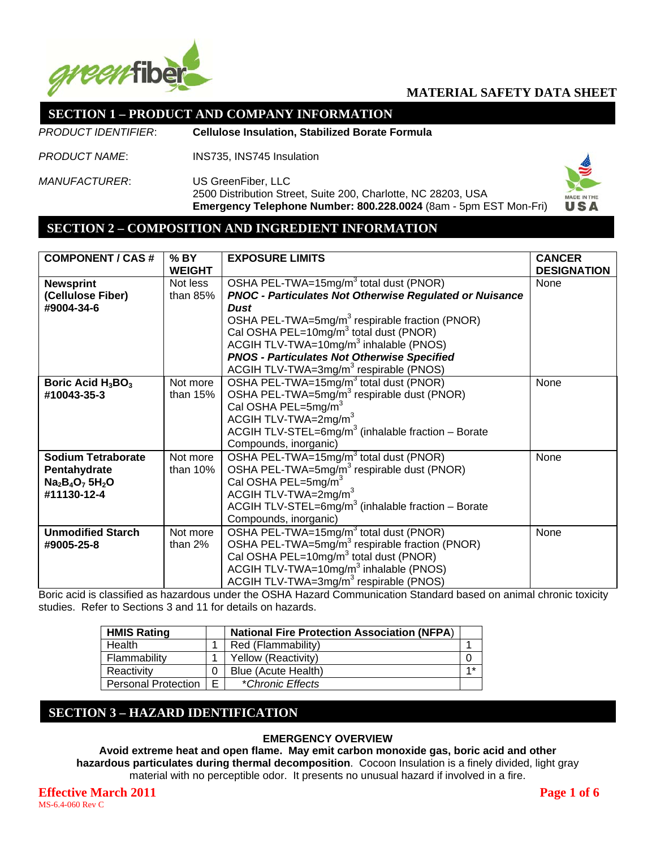

## **SECTION 1 – PRODUCT AND COMPANY INFORMATION**

*PRODUCT IDENTIFIER*: **Cellulose Insulation, Stabilized Borate Formula**

*PRODUCT NAME*: INS735, INS745 Insulation

*MANUFACTURER*: US GreenFiber, LLC 2500 Distribution Street, Suite 200, Charlotte, NC 28203, USA **Emergency Telephone Number: 800.228.0024** (8am - 5pm EST Mon-Fri)



### **SECTION 2 – COMPOSITION AND INGREDIENT INFORMATION**

| <b>COMPONENT / CAS #</b>  | $%$ BY<br><b>WEIGHT</b> | <b>EXPOSURE LIMITS</b>                                           | <b>CANCER</b><br><b>DESIGNATION</b> |
|---------------------------|-------------------------|------------------------------------------------------------------|-------------------------------------|
| <b>Newsprint</b>          | Not less                | OSHA PEL-TWA=15mg/m <sup>3</sup> total dust (PNOR)               | None                                |
| (Cellulose Fiber)         | than $85%$              | <b>PNOC - Particulates Not Otherwise Regulated or Nuisance</b>   |                                     |
| #9004-34-6                |                         | <b>Dust</b>                                                      |                                     |
|                           |                         | OSHA PEL-TWA=5mg/m <sup>3</sup> respirable fraction (PNOR)       |                                     |
|                           |                         | Cal OSHA PEL=10mg/m <sup>3</sup> total dust (PNOR)               |                                     |
|                           |                         | ACGIH TLV-TWA=10 $mg/m3$ inhalable (PNOS)                        |                                     |
|                           |                         | <b>PNOS - Particulates Not Otherwise Specified</b>               |                                     |
|                           |                         | ACGIH TLV-TWA=3mg/m <sup>3</sup> respirable (PNOS)               |                                     |
| Boric Acid $H_3BO_3$      | Not more                | OSHA PEL-TWA=15mg/m <sup>3</sup> total dust (PNOR)               | None                                |
| #10043-35-3               | than $15%$              | OSHA PEL-TWA=5mg/m <sup>3</sup> respirable dust (PNOR)           |                                     |
|                           |                         | Cal OSHA PEL=5mg/m <sup>3</sup>                                  |                                     |
|                           |                         | ACGIH TLV-TWA=2mg/m <sup>3</sup>                                 |                                     |
|                           |                         | ACGIH TLV-STEL= $6mg/m3$ (inhalable fraction – Borate            |                                     |
|                           |                         | Compounds, inorganic)                                            |                                     |
| <b>Sodium Tetraborate</b> | Not more                | OSHA PEL-TWA=15mg/m <sup>3</sup> total dust (PNOR)               | None                                |
| Pentahydrate              | than 10%                | OSHA PEL-TWA=5mg/m <sup>3</sup> respirable dust (PNOR)           |                                     |
| $Na2B4O7 5H2O$            |                         | Cal OSHA PEL=5mg/m <sup>3</sup>                                  |                                     |
| #11130-12-4               |                         | ACGIH TLV-TWA=2mg/m <sup>3</sup>                                 |                                     |
|                           |                         | ACGIH TLV-STEL=6mg/m <sup>3</sup> (inhalable fraction $-$ Borate |                                     |
|                           |                         | Compounds, inorganic)                                            |                                     |
| <b>Unmodified Starch</b>  | Not more                | OSHA PEL-TWA=15mg/m <sup>3</sup> total dust (PNOR)               | None                                |
| #9005-25-8                | than $2%$               | OSHA PEL-TWA=5mg/m <sup>3</sup> respirable fraction (PNOR)       |                                     |
|                           |                         | Cal OSHA PEL=10mg/m <sup>3</sup> total dust (PNOR)               |                                     |
|                           |                         | ACGIH TLV-TWA=10mg/m <sup>3</sup> inhalable (PNOS)               |                                     |
|                           |                         | ACGIH TLV-TWA=3mg/m <sup>3</sup> respirable (PNOS)               |                                     |

Boric acid is classified as hazardous under the OSHA Hazard Communication Standard based on animal chronic toxicity studies. Refer to Sections 3 and 11 for details on hazards.

| <b>HMIS Rating</b>  |    | <b>National Fire Protection Association (NFPA)</b> |      |
|---------------------|----|----------------------------------------------------|------|
| Health              |    | Red (Flammability)                                 |      |
| Flammability        |    | Yellow (Reactivity)                                |      |
| Reactivity          | 0  | Blue (Acute Health)                                | $4*$ |
| Personal Protection | F. | *Chronic Effects                                   |      |

## **SECTION 3 – HAZARD IDENTIFICATION**

#### **EMERGENCY OVERVIEW**

**Avoid extreme heat and open flame. May emit carbon monoxide gas, boric acid and other hazardous particulates during thermal decomposition**. Cocoon Insulation is a finely divided, light gray material with no perceptible odor. It presents no unusual hazard if involved in a fire.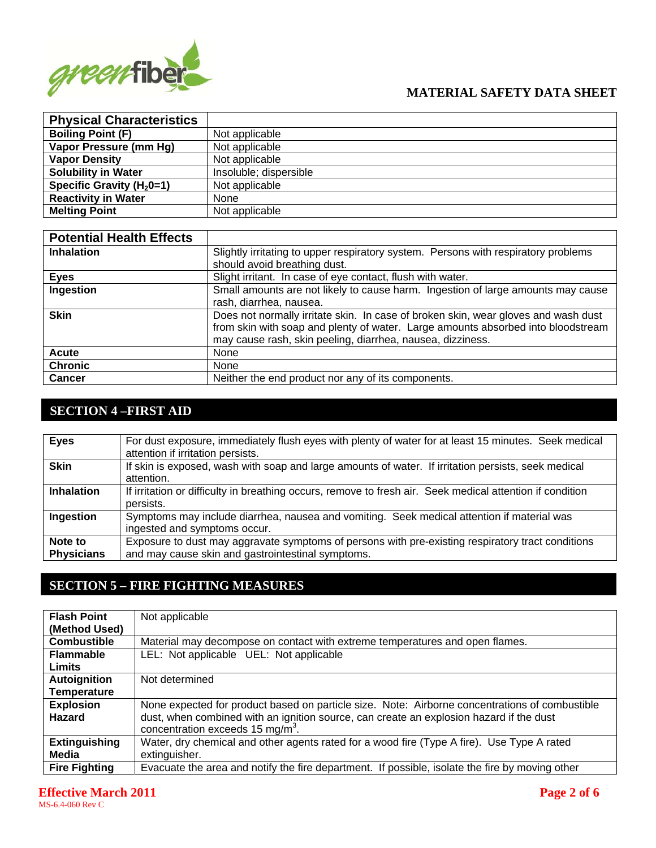

| <b>Physical Characteristics</b> |                        |
|---------------------------------|------------------------|
| <b>Boiling Point (F)</b>        | Not applicable         |
| Vapor Pressure (mm Hg)          | Not applicable         |
| <b>Vapor Density</b>            | Not applicable         |
| <b>Solubility in Water</b>      | Insoluble; dispersible |
| Specific Gravity ( $H20=1$ )    | Not applicable         |
| <b>Reactivity in Water</b>      | None                   |
| <b>Melting Point</b>            | Not applicable         |

| <b>Potential Health Effects</b> |                                                                                                                                                                                                                                      |
|---------------------------------|--------------------------------------------------------------------------------------------------------------------------------------------------------------------------------------------------------------------------------------|
| <b>Inhalation</b>               | Slightly irritating to upper respiratory system. Persons with respiratory problems<br>should avoid breathing dust.                                                                                                                   |
| <b>Eyes</b>                     | Slight irritant. In case of eye contact, flush with water.                                                                                                                                                                           |
| Ingestion                       | Small amounts are not likely to cause harm. Ingestion of large amounts may cause<br>rash, diarrhea, nausea.                                                                                                                          |
| <b>Skin</b>                     | Does not normally irritate skin. In case of broken skin, wear gloves and wash dust<br>from skin with soap and plenty of water. Large amounts absorbed into bloodstream<br>may cause rash, skin peeling, diarrhea, nausea, dizziness. |
| <b>Acute</b>                    | None                                                                                                                                                                                                                                 |
| <b>Chronic</b>                  | None                                                                                                                                                                                                                                 |
| <b>Cancer</b>                   | Neither the end product nor any of its components.                                                                                                                                                                                   |

# **SECTION 4 –FIRST AID**

| <b>Eyes</b>                  | For dust exposure, immediately flush eyes with plenty of water for at least 15 minutes. Seek medical<br>attention if irritation persists.              |
|------------------------------|--------------------------------------------------------------------------------------------------------------------------------------------------------|
| <b>Skin</b>                  | If skin is exposed, wash with soap and large amounts of water. If irritation persists, seek medical<br>attention.                                      |
| <b>Inhalation</b>            | If irritation or difficulty in breathing occurs, remove to fresh air. Seek medical attention if condition<br>persists.                                 |
| Ingestion                    | Symptoms may include diarrhea, nausea and vomiting. Seek medical attention if material was<br>ingested and symptoms occur.                             |
| Note to<br><b>Physicians</b> | Exposure to dust may aggravate symptoms of persons with pre-existing respiratory tract conditions<br>and may cause skin and gastrointestinal symptoms. |

# **SECTION 5 – FIRE FIGHTING MEASURES**

| <b>Flash Point</b>   | Not applicable                                                                                  |
|----------------------|-------------------------------------------------------------------------------------------------|
| (Method Used)        |                                                                                                 |
| <b>Combustible</b>   | Material may decompose on contact with extreme temperatures and open flames.                    |
| <b>Flammable</b>     | LEL: Not applicable UEL: Not applicable                                                         |
| <b>Limits</b>        |                                                                                                 |
| Autoignition         | Not determined                                                                                  |
| <b>Temperature</b>   |                                                                                                 |
| <b>Explosion</b>     | None expected for product based on particle size. Note: Airborne concentrations of combustible  |
| <b>Hazard</b>        | dust, when combined with an ignition source, can create an explosion hazard if the dust         |
|                      | concentration exceeds 15 mg/m <sup>3</sup> .                                                    |
| <b>Extinguishing</b> | Water, dry chemical and other agents rated for a wood fire (Type A fire). Use Type A rated      |
| Media                | extinguisher.                                                                                   |
| <b>Fire Fighting</b> | Evacuate the area and notify the fire department. If possible, isolate the fire by moving other |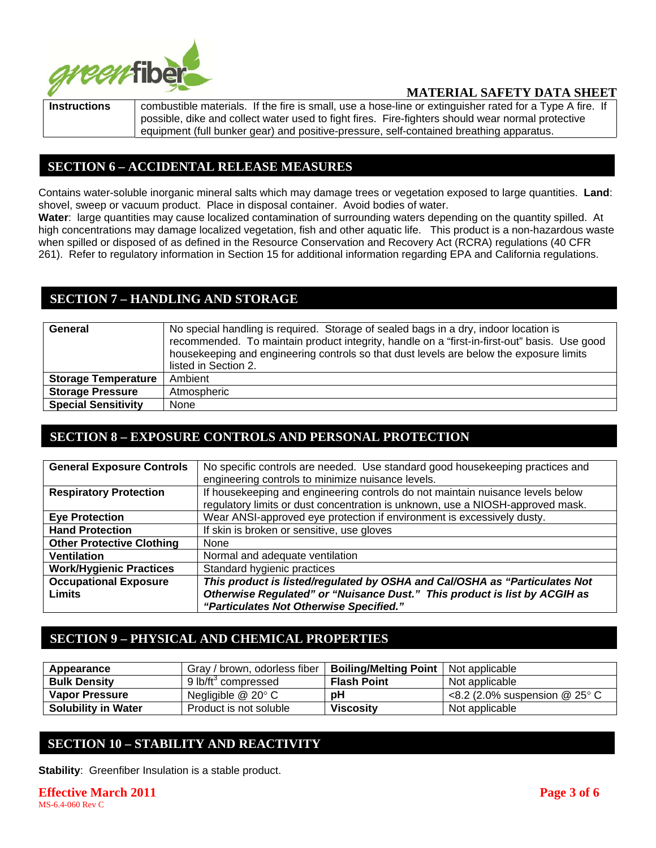

**Instructions** | combustible materials. If the fire is small, use a hose-line or extinguisher rated for a Type A fire. If possible, dike and collect water used to fight fires. Fire-fighters should wear normal protective equipment (full bunker gear) and positive-pressure, self-contained breathing apparatus.

## **SECTION 6 – ACCIDENTAL RELEASE MEASURES**

Contains water-soluble inorganic mineral salts which may damage trees or vegetation exposed to large quantities. **Land**: shovel, sweep or vacuum product. Place in disposal container. Avoid bodies of water.

**Water**: large quantities may cause localized contamination of surrounding waters depending on the quantity spilled. At high concentrations may damage localized vegetation, fish and other aquatic life. This product is a non-hazardous waste when spilled or disposed of as defined in the Resource Conservation and Recovery Act (RCRA) regulations (40 CFR 261). Refer to regulatory information in Section 15 for additional information regarding EPA and California regulations.

## **SECTION 7 – HANDLING AND STORAGE**

| General                    | No special handling is required. Storage of sealed bags in a dry, indoor location is         |  |  |
|----------------------------|----------------------------------------------------------------------------------------------|--|--|
|                            | recommended. To maintain product integrity, handle on a "first-in-first-out" basis. Use good |  |  |
|                            | housekeeping and engineering controls so that dust levels are below the exposure limits      |  |  |
|                            | listed in Section 2.                                                                         |  |  |
| <b>Storage Temperature</b> | Ambient                                                                                      |  |  |
| <b>Storage Pressure</b>    | Atmospheric                                                                                  |  |  |
| <b>Special Sensitivity</b> | None                                                                                         |  |  |

### **SECTION 8 – EXPOSURE CONTROLS AND PERSONAL PROTECTION**

| <b>General Exposure Controls</b> | No specific controls are needed. Use standard good housekeeping practices and  |  |
|----------------------------------|--------------------------------------------------------------------------------|--|
|                                  | engineering controls to minimize nuisance levels.                              |  |
| <b>Respiratory Protection</b>    | If housekeeping and engineering controls do not maintain nuisance levels below |  |
|                                  | regulatory limits or dust concentration is unknown, use a NIOSH-approved mask. |  |
| <b>Eye Protection</b>            | Wear ANSI-approved eye protection if environment is excessively dusty.         |  |
| <b>Hand Protection</b>           | If skin is broken or sensitive, use gloves                                     |  |
| <b>Other Protective Clothing</b> | None                                                                           |  |
| <b>Ventilation</b>               | Normal and adequate ventilation                                                |  |
| <b>Work/Hygienic Practices</b>   | Standard hygienic practices                                                    |  |
| <b>Occupational Exposure</b>     | This product is listed/regulated by OSHA and Cal/OSHA as "Particulates Not     |  |
| <b>Limits</b>                    | Otherwise Regulated" or "Nuisance Dust." This product is list by ACGIH as      |  |
|                                  | "Particulates Not Otherwise Specified."                                        |  |

# **SECTION 9 – PHYSICAL AND CHEMICAL PROPERTIES**

| Appearance                 | Gray / brown, odorless fiber    | <b>Boiling/Melting Point</b>   Not applicable |                                              |
|----------------------------|---------------------------------|-----------------------------------------------|----------------------------------------------|
| <b>Bulk Density</b>        | 9 lb/ft <sup>3</sup> compressed | <b>Flash Point</b>                            | Not applicable                               |
| <b>Vapor Pressure</b>      | Negligible $@$ 20 $^{\circ}$ C  | рH                                            | $\leq$ 8.2 (2.0% suspension @ 25 $\degree$ C |
| <b>Solubility in Water</b> | Product is not soluble          | <b>Viscosity</b>                              | Not applicable                               |

## **SECTION 10 – STABILITY AND REACTIVITY**

**Stability**: Greenfiber Insulation is a stable product.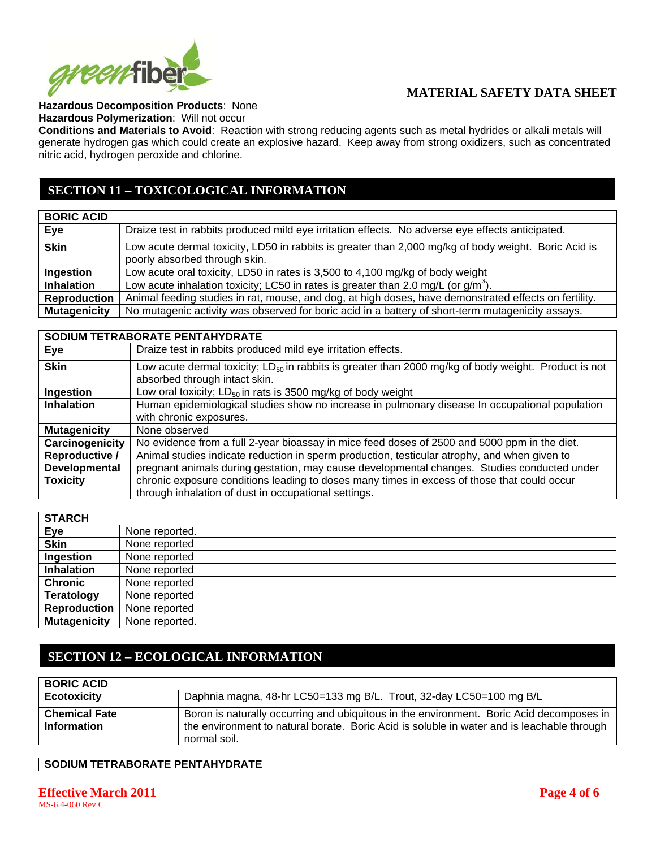

### **Hazardous Decomposition Products**: None

**Hazardous Polymerization**: Will not occur

**Conditions and Materials to Avoid**: Reaction with strong reducing agents such as metal hydrides or alkali metals will generate hydrogen gas which could create an explosive hazard. Keep away from strong oxidizers, such as concentrated nitric acid, hydrogen peroxide and chlorine.

# **SECTION 11 – TOXICOLOGICAL INFORMATION**

| <b>BORIC ACID</b>   |                                                                                                                                       |
|---------------------|---------------------------------------------------------------------------------------------------------------------------------------|
| Eye                 | Draize test in rabbits produced mild eye irritation effects. No adverse eye effects anticipated.                                      |
| <b>Skin</b>         | Low acute dermal toxicity, LD50 in rabbits is greater than 2,000 mg/kg of body weight. Boric Acid is<br>poorly absorbed through skin. |
| Ingestion           | Low acute oral toxicity, LD50 in rates is 3,500 to 4,100 mg/kg of body weight                                                         |
| <b>Inhalation</b>   | Low acute inhalation toxicity; LC50 in rates is greater than 2.0 mg/L (or $g/m3$ ).                                                   |
| <b>Reproduction</b> | Animal feeding studies in rat, mouse, and dog, at high doses, have demonstrated effects on fertility.                                 |
| <b>Mutagenicity</b> | No mutagenic activity was observed for boric acid in a battery of short-term mutagenicity assays.                                     |

|                      | SODIUM TETRABORATE PENTAHYDRATE                                                                                                                   |
|----------------------|---------------------------------------------------------------------------------------------------------------------------------------------------|
| Eye                  | Draize test in rabbits produced mild eye irritation effects.                                                                                      |
| <b>Skin</b>          | Low acute dermal toxicity; LD <sub>50</sub> in rabbits is greater than 2000 mg/kg of body weight. Product is not<br>absorbed through intact skin. |
| Ingestion            | Low oral toxicity; $LD_{50}$ in rats is 3500 mg/kg of body weight                                                                                 |
| <b>Inhalation</b>    | Human epidemiological studies show no increase in pulmonary disease In occupational population                                                    |
|                      | with chronic exposures.                                                                                                                           |
| <b>Mutagenicity</b>  | None observed                                                                                                                                     |
| Carcinogenicity      | No evidence from a full 2-year bioassay in mice feed doses of 2500 and 5000 ppm in the diet.                                                      |
| Reproductive /       | Animal studies indicate reduction in sperm production, testicular atrophy, and when given to                                                      |
| <b>Developmental</b> | pregnant animals during gestation, may cause developmental changes. Studies conducted under                                                       |
| <b>Toxicity</b>      | chronic exposure conditions leading to doses many times in excess of those that could occur                                                       |
|                      | through inhalation of dust in occupational settings.                                                                                              |

| <b>STARCH</b>       |                |
|---------------------|----------------|
| Eye                 | None reported. |
| <b>Skin</b>         | None reported  |
| Ingestion           | None reported  |
| <b>Inhalation</b>   | None reported  |
| <b>Chronic</b>      | None reported  |
| <b>Teratology</b>   | None reported  |
| <b>Reproduction</b> | None reported  |
| <b>Mutagenicity</b> | None reported. |

# **SECTION 12 – ECOLOGICAL INFORMATION**

| <b>BORIC ACID</b>                          |                                                                                                                                                                                                        |
|--------------------------------------------|--------------------------------------------------------------------------------------------------------------------------------------------------------------------------------------------------------|
| <b>Ecotoxicity</b>                         | Daphnia magna, 48-hr LC50=133 mg B/L. Trout, 32-day LC50=100 mg B/L                                                                                                                                    |
| <b>Chemical Fate</b><br><b>Information</b> | Boron is naturally occurring and ubiquitous in the environment. Boric Acid decomposes in<br>the environment to natural borate. Boric Acid is soluble in water and is leachable through<br>normal soil. |

### **SODIUM TETRABORATE PENTAHYDRATE**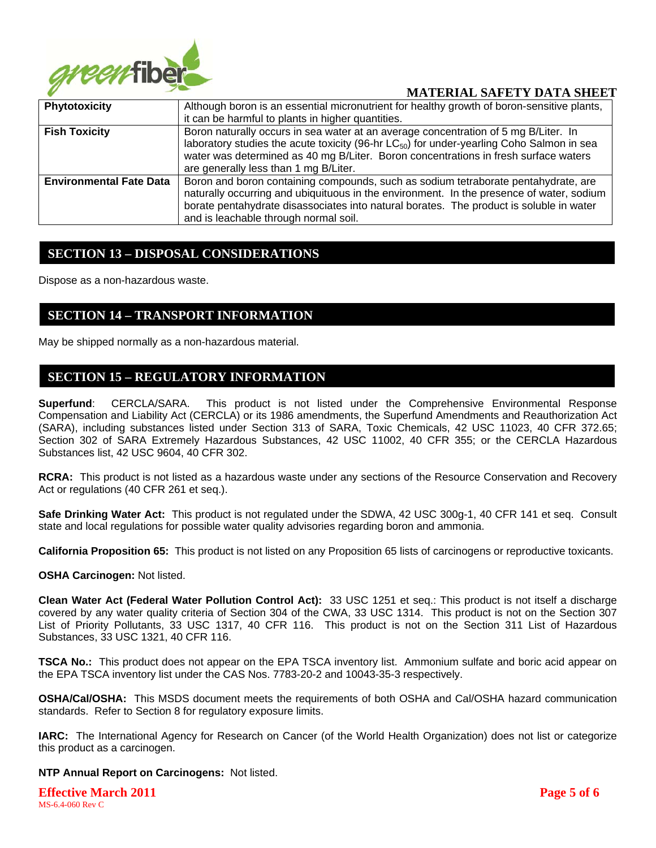

| Phytotoxicity                  | Although boron is an essential micronutrient for healthy growth of boron-sensitive plants,                                                                                                                                                                                                                         |  |  |
|--------------------------------|--------------------------------------------------------------------------------------------------------------------------------------------------------------------------------------------------------------------------------------------------------------------------------------------------------------------|--|--|
|                                | it can be harmful to plants in higher quantities.                                                                                                                                                                                                                                                                  |  |  |
| <b>Fish Toxicity</b>           | Boron naturally occurs in sea water at an average concentration of 5 mg B/Liter. In<br>laboratory studies the acute toxicity (96-hr LC <sub>50</sub> ) for under-yearling Coho Salmon in sea<br>water was determined as 40 mg B/Liter. Boron concentrations in fresh surface waters                                |  |  |
|                                | are generally less than 1 mg B/Liter.                                                                                                                                                                                                                                                                              |  |  |
| <b>Environmental Fate Data</b> | Boron and boron containing compounds, such as sodium tetraborate pentahydrate, are<br>naturally occurring and ubiquituous in the environment. In the presence of water, sodium<br>borate pentahydrate disassociates into natural borates. The product is soluble in water<br>and is leachable through normal soil. |  |  |

### **SECTION 13 – DISPOSAL CONSIDERATIONS**

Dispose as a non-hazardous waste.

### **SECTION 14 – TRANSPORT INFORMATION**

May be shipped normally as a non-hazardous material.

### **SECTION 15 – REGULATORY INFORMATION**

**Superfund**: CERCLA/SARA. This product is not listed under the Comprehensive Environmental Response Compensation and Liability Act (CERCLA) or its 1986 amendments, the Superfund Amendments and Reauthorization Act (SARA), including substances listed under Section 313 of SARA, Toxic Chemicals, 42 USC 11023, 40 CFR 372.65; Section 302 of SARA Extremely Hazardous Substances, 42 USC 11002, 40 CFR 355; or the CERCLA Hazardous Substances list, 42 USC 9604, 40 CFR 302.

**RCRA:** This product is not listed as a hazardous waste under any sections of the Resource Conservation and Recovery Act or regulations (40 CFR 261 et seq.).

**Safe Drinking Water Act:** This product is not regulated under the SDWA, 42 USC 300g-1, 40 CFR 141 et seq. Consult state and local regulations for possible water quality advisories regarding boron and ammonia.

**California Proposition 65:** This product is not listed on any Proposition 65 lists of carcinogens or reproductive toxicants.

#### **OSHA Carcinogen:** Not listed.

**Clean Water Act (Federal Water Pollution Control Act):** 33 USC 1251 et seq.: This product is not itself a discharge covered by any water quality criteria of Section 304 of the CWA, 33 USC 1314. This product is not on the Section 307 List of Priority Pollutants, 33 USC 1317, 40 CFR 116. This product is not on the Section 311 List of Hazardous Substances, 33 USC 1321, 40 CFR 116.

**TSCA No.:** This product does not appear on the EPA TSCA inventory list. Ammonium sulfate and boric acid appear on the EPA TSCA inventory list under the CAS Nos. 7783-20-2 and 10043-35-3 respectively.

**OSHA/Cal/OSHA:** This MSDS document meets the requirements of both OSHA and Cal/OSHA hazard communication standards. Refer to Section 8 for regulatory exposure limits.

**IARC:** The International Agency for Research on Cancer (of the World Health Organization) does not list or categorize this product as a carcinogen.

#### **NTP Annual Report on Carcinogens:** Not listed.

**Effective March 2011 Page 5 of 6** MS-6.4-060 Rev C